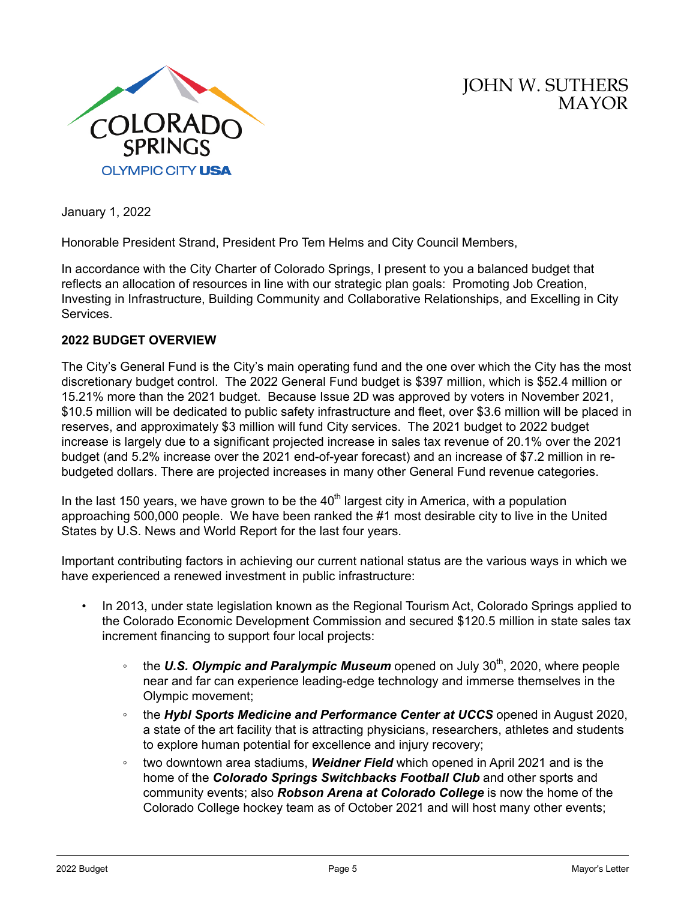

JOHN W. SUTHERS MAYOR

January 1, 2022

Honorable President Strand, President Pro Tem Helms and City Council Members,

In accordance with the City Charter of Colorado Springs, I present to you a balanced budget that reflects an allocation of resources in line with our strategic plan goals: Promoting Job Creation, Investing in Infrastructure, Building Community and Collaborative Relationships, and Excelling in City Services.

#### **2022 BUDGET OVERVIEW**

The City's General Fund is the City's main operating fund and the one over which the City has the most discretionary budget control. The 2022 General Fund budget is \$397 million, which is \$52.4 million or 15.21% more than the 2021 budget. Because Issue 2D was approved by voters in November 2021, \$10.5 million will be dedicated to public safety infrastructure and fleet, over \$3.6 million will be placed in reserves, and approximately \$3 million will fund City services. The 2021 budget to 2022 budget increase is largely due to a significant projected increase in sales tax revenue of 20.1% over the 2021 budget (and 5.2% increase over the 2021 end-of-year forecast) and an increase of \$7.2 million in rebudgeted dollars. There are projected increases in many other General Fund revenue categories.

In the last 150 years, we have grown to be the  $40<sup>th</sup>$  largest city in America, with a population approaching 500,000 people. We have been ranked the #1 most desirable city to live in the United States by U.S. News and World Report for the last four years.

Important contributing factors in achieving our current national status are the various ways in which we have experienced a renewed investment in public infrastructure:

- In 2013, under state legislation known as the Regional Tourism Act, Colorado Springs applied to the Colorado Economic Development Commission and secured \$120.5 million in state sales tax increment financing to support four local projects:
	- the U.S. Olympic and Paralympic Museum opened on July 30<sup>th</sup>, 2020, where people near and far can experience leading-edge technology and immerse themselves in the Olympic movement;
	- the *Hybl Sports Medicine and Performance Center at UCCS* opened in August 2020, a state of the art facility that is attracting physicians, researchers, athletes and students to explore human potential for excellence and injury recovery;
	- two downtown area stadiums, *Weidner Field* which opened in April 2021 and is the home of the *Colorado Springs Switchbacks Football Club* and other sports and community events; also *Robson Arena at Colorado College* is now the home of the Colorado College hockey team as of October 2021 and will host many other events;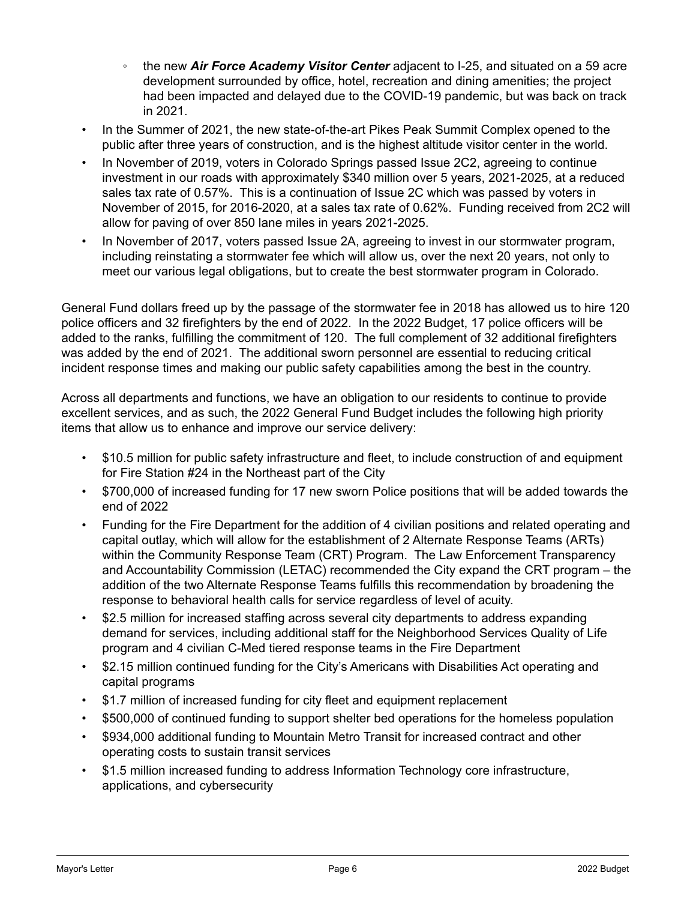- the new *Air Force Academy Visitor Center* adjacent to I-25, and situated on a 59 acre development surrounded by office, hotel, recreation and dining amenities; the project had been impacted and delayed due to the COVID-19 pandemic, but was back on track in 2021.
- In the Summer of 2021, the new state-of-the-art Pikes Peak Summit Complex opened to the public after three years of construction, and is the highest altitude visitor center in the world.
- In November of 2019, voters in Colorado Springs passed Issue 2C2, agreeing to continue investment in our roads with approximately \$340 million over 5 years, 2021-2025, at a reduced sales tax rate of 0.57%. This is a continuation of Issue 2C which was passed by voters in November of 2015, for 2016-2020, at a sales tax rate of 0.62%. Funding received from 2C2 will allow for paving of over 850 lane miles in years 2021-2025.
- In November of 2017, voters passed Issue 2A, agreeing to invest in our stormwater program, including reinstating a stormwater fee which will allow us, over the next 20 years, not only to meet our various legal obligations, but to create the best stormwater program in Colorado.

General Fund dollars freed up by the passage of the stormwater fee in 2018 has allowed us to hire 120 police officers and 32 firefighters by the end of 2022. In the 2022 Budget, 17 police officers will be added to the ranks, fulfilling the commitment of 120. The full complement of 32 additional firefighters was added by the end of 2021. The additional sworn personnel are essential to reducing critical incident response times and making our public safety capabilities among the best in the country.

Across all departments and functions, we have an obligation to our residents to continue to provide excellent services, and as such, the 2022 General Fund Budget includes the following high priority items that allow us to enhance and improve our service delivery:

- \$10.5 million for public safety infrastructure and fleet, to include construction of and equipment for Fire Station #24 in the Northeast part of the City
- \$700,000 of increased funding for 17 new sworn Police positions that will be added towards the end of 2022
- Funding for the Fire Department for the addition of 4 civilian positions and related operating and capital outlay, which will allow for the establishment of 2 Alternate Response Teams (ARTs) within the Community Response Team (CRT) Program. The Law Enforcement Transparency and Accountability Commission (LETAC) recommended the City expand the CRT program – the addition of the two Alternate Response Teams fulfills this recommendation by broadening the response to behavioral health calls for service regardless of level of acuity.
- \$2.5 million for increased staffing across several city departments to address expanding demand for services, including additional staff for the Neighborhood Services Quality of Life program and 4 civilian C-Med tiered response teams in the Fire Department
- \$2.15 million continued funding for the City's Americans with Disabilities Act operating and capital programs
- \$1.7 million of increased funding for city fleet and equipment replacement
- \$500,000 of continued funding to support shelter bed operations for the homeless population
- \$934,000 additional funding to Mountain Metro Transit for increased contract and other operating costs to sustain transit services
- \$1.5 million increased funding to address Information Technology core infrastructure, applications, and cybersecurity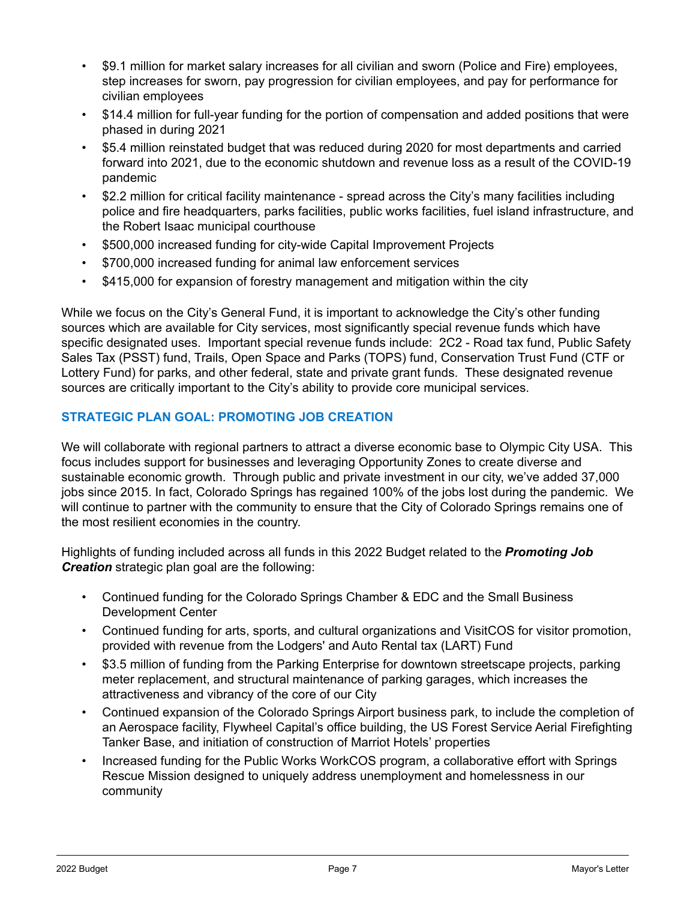- \$9.1 million for market salary increases for all civilian and sworn (Police and Fire) employees, step increases for sworn, pay progression for civilian employees, and pay for performance for civilian employees
- \$14.4 million for full-year funding for the portion of compensation and added positions that were phased in during 2021
- \$5.4 million reinstated budget that was reduced during 2020 for most departments and carried forward into 2021, due to the economic shutdown and revenue loss as a result of the COVID-19 pandemic
- \$2.2 million for critical facility maintenance spread across the City's many facilities including police and fire headquarters, parks facilities, public works facilities, fuel island infrastructure, and the Robert Isaac municipal courthouse
- \$500,000 increased funding for city-wide Capital Improvement Projects
- \$700,000 increased funding for animal law enforcement services
- \$415,000 for expansion of forestry management and mitigation within the city

While we focus on the City's General Fund, it is important to acknowledge the City's other funding sources which are available for City services, most significantly special revenue funds which have specific designated uses. Important special revenue funds include: 2C2 - Road tax fund, Public Safety Sales Tax (PSST) fund, Trails, Open Space and Parks (TOPS) fund, Conservation Trust Fund (CTF or Lottery Fund) for parks, and other federal, state and private grant funds. These designated revenue sources are critically important to the City's ability to provide core municipal services.

# **STRATEGIC PLAN GOAL: PROMOTING JOB CREATION**

We will collaborate with regional partners to attract a diverse economic base to Olympic City USA. This focus includes support for businesses and leveraging Opportunity Zones to create diverse and sustainable economic growth. Through public and private investment in our city, we've added 37,000 jobs since 2015. In fact, Colorado Springs has regained 100% of the jobs lost during the pandemic. We will continue to partner with the community to ensure that the City of Colorado Springs remains one of the most resilient economies in the country.

Highlights of funding included across all funds in this 2022 Budget related to the *Promoting Job Creation* strategic plan goal are the following:

- Continued funding for the Colorado Springs Chamber & EDC and the Small Business Development Center
- Continued funding for arts, sports, and cultural organizations and VisitCOS for visitor promotion, provided with revenue from the Lodgers' and Auto Rental tax (LART) Fund
- \$3.5 million of funding from the Parking Enterprise for downtown streetscape projects, parking meter replacement, and structural maintenance of parking garages, which increases the attractiveness and vibrancy of the core of our City
- Continued expansion of the Colorado Springs Airport business park, to include the completion of an Aerospace facility, Flywheel Capital's office building, the US Forest Service Aerial Firefighting Tanker Base, and initiation of construction of Marriot Hotels' properties
- Increased funding for the Public Works WorkCOS program, a collaborative effort with Springs Rescue Mission designed to uniquely address unemployment and homelessness in our community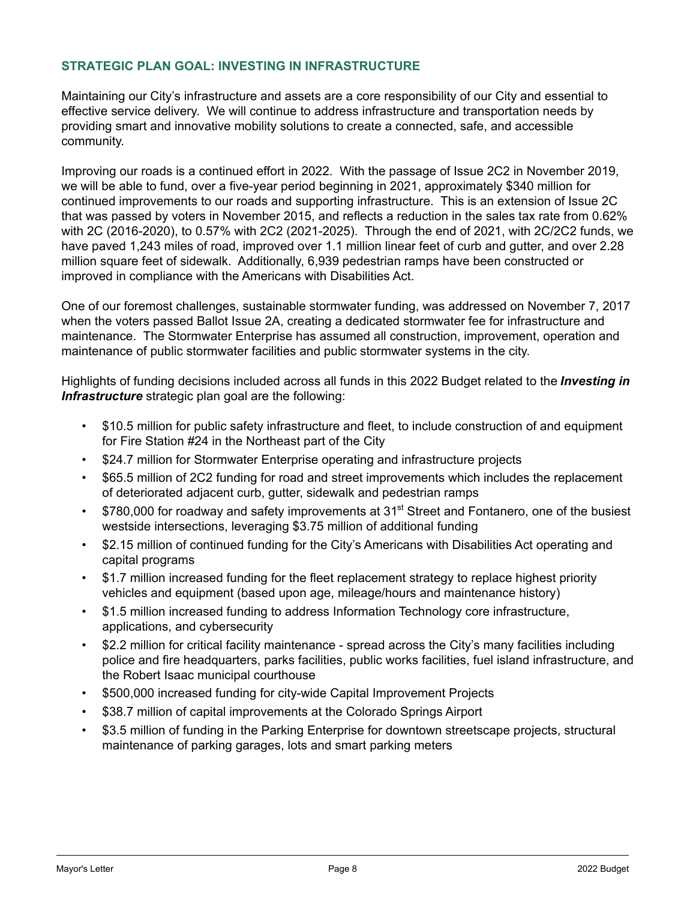### **STRATEGIC PLAN GOAL: INVESTING IN INFRASTRUCTURE**

Maintaining our City's infrastructure and assets are a core responsibility of our City and essential to effective service delivery. We will continue to address infrastructure and transportation needs by providing smart and innovative mobility solutions to create a connected, safe, and accessible community.

Improving our roads is a continued effort in 2022. With the passage of Issue 2C2 in November 2019, we will be able to fund, over a five-year period beginning in 2021, approximately \$340 million for continued improvements to our roads and supporting infrastructure. This is an extension of Issue 2C that was passed by voters in November 2015, and reflects a reduction in the sales tax rate from 0.62% with 2C (2016-2020), to 0.57% with 2C2 (2021-2025). Through the end of 2021, with 2C/2C2 funds, we have paved 1,243 miles of road, improved over 1.1 million linear feet of curb and gutter, and over 2.28 million square feet of sidewalk. Additionally, 6,939 pedestrian ramps have been constructed or improved in compliance with the Americans with Disabilities Act.

One of our foremost challenges, sustainable stormwater funding, was addressed on November 7, 2017 when the voters passed Ballot Issue 2A, creating a dedicated stormwater fee for infrastructure and maintenance. The Stormwater Enterprise has assumed all construction, improvement, operation and maintenance of public stormwater facilities and public stormwater systems in the city.

Highlights of funding decisions included across all funds in this 2022 Budget related to the *Investing in Infrastructure* strategic plan goal are the following:

- \$10.5 million for public safety infrastructure and fleet, to include construction of and equipment for Fire Station #24 in the Northeast part of the City
- \$24.7 million for Stormwater Enterprise operating and infrastructure projects
- \$65.5 million of 2C2 funding for road and street improvements which includes the replacement of deteriorated adjacent curb, gutter, sidewalk and pedestrian ramps
- \$780,000 for roadway and safety improvements at 31<sup>st</sup> Street and Fontanero, one of the busiest westside intersections, leveraging \$3.75 million of additional funding
- \$2.15 million of continued funding for the City's Americans with Disabilities Act operating and capital programs
- \$1.7 million increased funding for the fleet replacement strategy to replace highest priority vehicles and equipment (based upon age, mileage/hours and maintenance history)
- \$1.5 million increased funding to address Information Technology core infrastructure, applications, and cybersecurity
- \$2.2 million for critical facility maintenance spread across the City's many facilities including police and fire headquarters, parks facilities, public works facilities, fuel island infrastructure, and the Robert Isaac municipal courthouse
- \$500,000 increased funding for city-wide Capital Improvement Projects
- \$38.7 million of capital improvements at the Colorado Springs Airport
- \$3.5 million of funding in the Parking Enterprise for downtown streetscape projects, structural maintenance of parking garages, lots and smart parking meters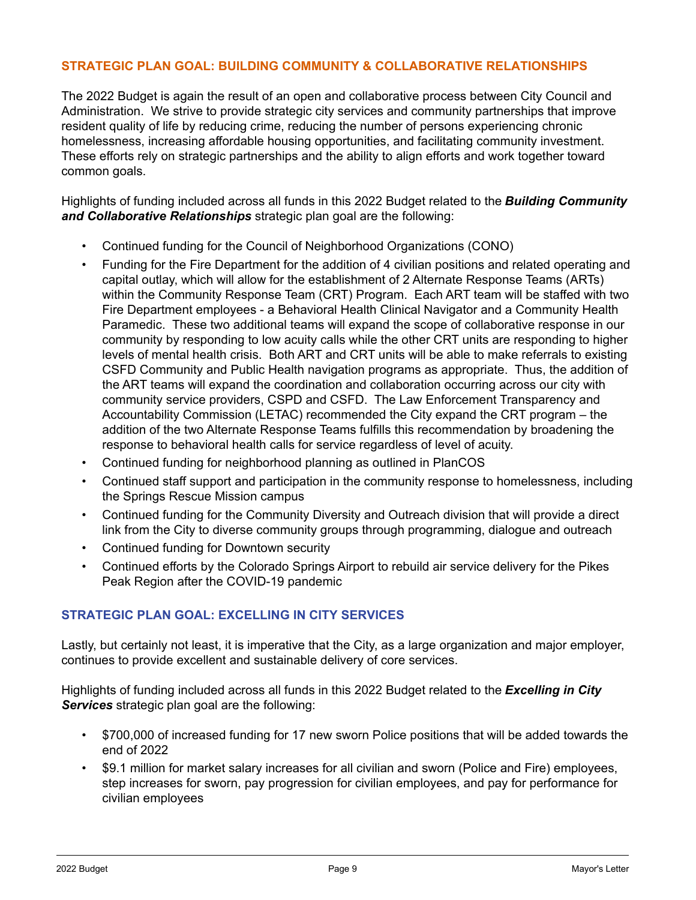### **STRATEGIC PLAN GOAL: BUILDING COMMUNITY & COLLABORATIVE RELATIONSHIPS**

The 2022 Budget is again the result of an open and collaborative process between City Council and Administration. We strive to provide strategic city services and community partnerships that improve resident quality of life by reducing crime, reducing the number of persons experiencing chronic homelessness, increasing affordable housing opportunities, and facilitating community investment. These efforts rely on strategic partnerships and the ability to align efforts and work together toward common goals.

Highlights of funding included across all funds in this 2022 Budget related to the *Building Community and Collaborative Relationships* strategic plan goal are the following:

- Continued funding for the Council of Neighborhood Organizations (CONO)
- Funding for the Fire Department for the addition of 4 civilian positions and related operating and capital outlay, which will allow for the establishment of 2 Alternate Response Teams (ARTs) within the Community Response Team (CRT) Program. Each ART team will be staffed with two Fire Department employees - a Behavioral Health Clinical Navigator and a Community Health Paramedic. These two additional teams will expand the scope of collaborative response in our community by responding to low acuity calls while the other CRT units are responding to higher levels of mental health crisis. Both ART and CRT units will be able to make referrals to existing CSFD Community and Public Health navigation programs as appropriate. Thus, the addition of the ART teams will expand the coordination and collaboration occurring across our city with community service providers, CSPD and CSFD. The Law Enforcement Transparency and Accountability Commission (LETAC) recommended the City expand the CRT program – the addition of the two Alternate Response Teams fulfills this recommendation by broadening the response to behavioral health calls for service regardless of level of acuity.
- Continued funding for neighborhood planning as outlined in PlanCOS
- Continued staff support and participation in the community response to homelessness, including the Springs Rescue Mission campus
- Continued funding for the Community Diversity and Outreach division that will provide a direct link from the City to diverse community groups through programming, dialogue and outreach
- Continued funding for Downtown security
- Continued efforts by the Colorado Springs Airport to rebuild air service delivery for the Pikes Peak Region after the COVID-19 pandemic

# **STRATEGIC PLAN GOAL: EXCELLING IN CITY SERVICES**

Lastly, but certainly not least, it is imperative that the City, as a large organization and major employer, continues to provide excellent and sustainable delivery of core services.

Highlights of funding included across all funds in this 2022 Budget related to the *Excelling in City Services* strategic plan goal are the following:

- \$700,000 of increased funding for 17 new sworn Police positions that will be added towards the end of 2022
- \$9.1 million for market salary increases for all civilian and sworn (Police and Fire) employees, step increases for sworn, pay progression for civilian employees, and pay for performance for civilian employees